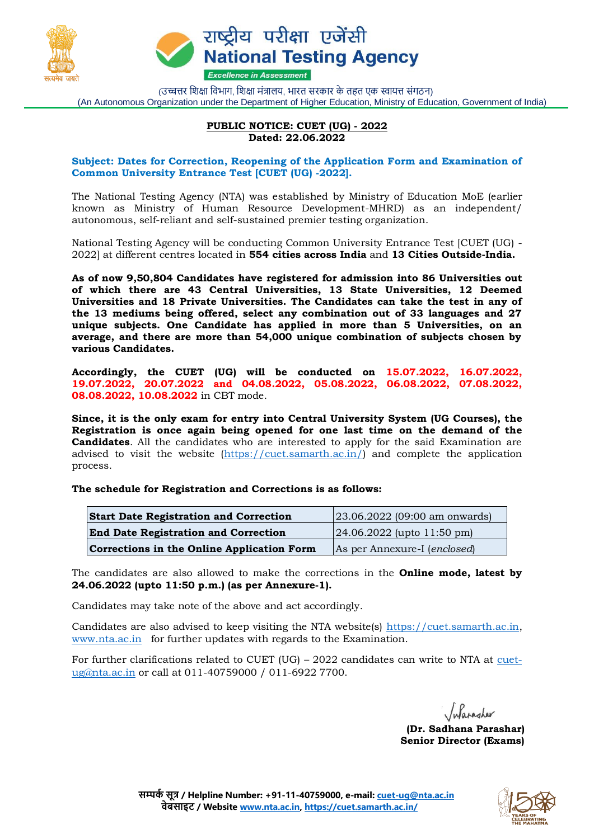

राष्ट्रीय परीक्षा एजेंसी **National Testing Agency Excellence in Assessment** 

(उच्चत्तर शिक्षा विभाग, शिक्षा मंत्रालय, भारत सरकार के तहत एक स्वायत्त संगठन) (An Autonomous Organization under the Department of Higher Education, Ministry of Education, Government of India)

## **PUBLIC NOTICE: CUET (UG) - 2022 Dated: 22.06.2022**

## **Subject: Dates for Correction, Reopening of the Application Form and Examination of Common University Entrance Test [CUET (UG) -2022].**

The National Testing Agency (NTA) was established by Ministry of Education MoE (earlier known as Ministry of Human Resource Development-MHRD) as an independent/ autonomous, self-reliant and self-sustained premier testing organization.

National Testing Agency will be conducting Common University Entrance Test [CUET (UG) - 2022] at different centres located in **554 cities across India** and **13 Cities Outside-India.**

**As of now 9,50,804 Candidates have registered for admission into 86 Universities out of which there are 43 Central Universities, 13 State Universities, 12 Deemed Universities and 18 Private Universities. The Candidates can take the test in any of the 13 mediums being offered, select any combination out of 33 languages and 27 unique subjects. One Candidate has applied in more than 5 Universities, on an average, and there are more than 54,000 unique combination of subjects chosen by various Candidates.**

**Accordingly, the CUET (UG) will be conducted on 15.07.2022, 16.07.2022, 19.07.2022, 20.07.2022 and 04.08.2022, 05.08.2022, 06.08.2022, 07.08.2022, 08.08.2022, 10.08.2022** in CBT mode.

**Since, it is the only exam for entry into Central University System (UG Courses), the Registration is once again being opened for one last time on the demand of the Candidates**. All the candidates who are interested to apply for the said Examination are advised to visit the website [\(https://cuet.samarth.ac.in/\)](https://cuet.samarth.ac.in/) and complete the application process.

**The schedule for Registration and Corrections is as follows:**

| <b>Start Date Registration and Correction</b> | $(23.06.2022)$ (09:00 am onwards)     |
|-----------------------------------------------|---------------------------------------|
| <b>End Date Registration and Correction</b>   | $[24.06.2022$ (upto 11:50 pm)         |
| Corrections in the Online Application Form    | As per Annexure-I ( <i>enclosed</i> ) |

The candidates are also allowed to make the corrections in the **Online mode, latest by 24.06.2022 (upto 11:50 p.m.) (as per Annexure-1).**

Candidates may take note of the above and act accordingly.

Candidates are also advised to keep visiting the NTA website(s) [https://cuet.samarth.ac.in,](https://cuet.samarth.ac.in/) [www.nta.ac.in](http://www.nta.ac.in/) for further updates with regards to the Examination.

For further clarifications related to CUET (UG) – 2022 candidates can write to NTA at [cuet](mailto:cuet-ug@nta.ac.in)[ug@nta.ac.in](mailto:cuet-ug@nta.ac.in) or call at 011-40759000 / 011-6922 7700.

Infarasher

**(Dr. Sadhana Parashar) Senior Director (Exams)**